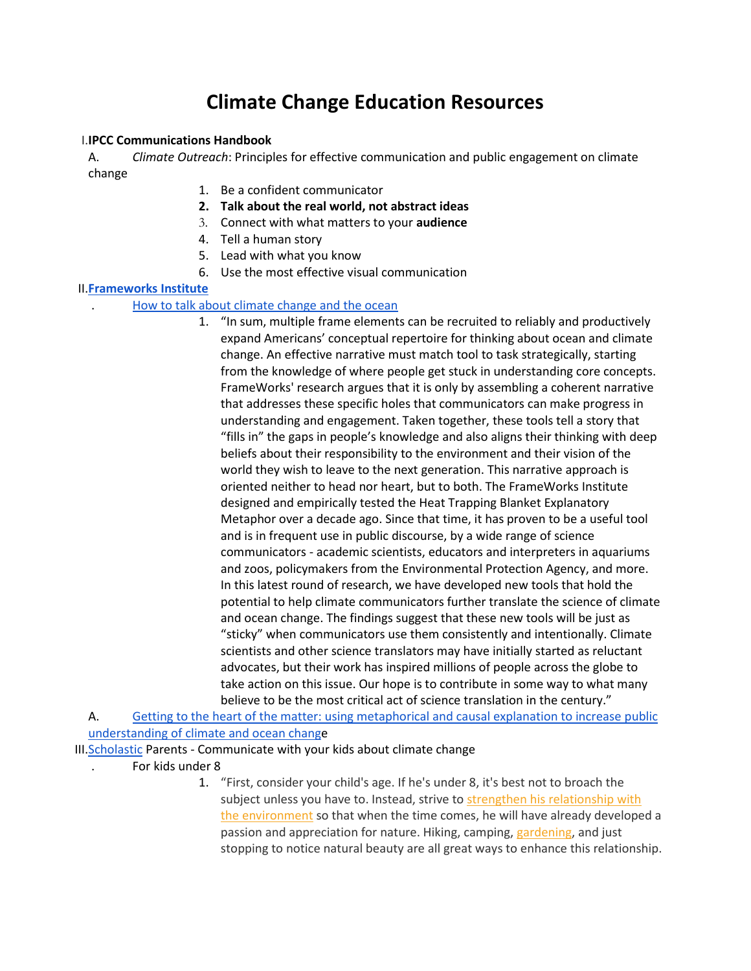# **Climate Change Education Resources**

### I.**IPCC Communications Handbook**

A. *Climate Outreach*: Principles for effective communication and public engagement on climate change

- 1. Be a confident communicator
- **2. Talk about the real world, not abstract ideas**
- 3. Connect with what matters to your **audience**
- 4. Tell a human story
- 5. Lead with what you know
- 6. Use the most effective visual communication

#### II.**[Frameworks Institute](https://www.frameworksinstitute.org/climate-change-and-the-ocean.html)**

- . [How to talk about climate change and the ocean](https://www.frameworksinstitute.org/assets/files/PDF_oceansclimate/climatechangeandtheocean_mm_final_2015.pdf)
	- 1. "In sum, multiple frame elements can be recruited to reliably and productively expand Americans' conceptual repertoire for thinking about ocean and climate change. An effective narrative must match tool to task strategically, starting from the knowledge of where people get stuck in understanding core concepts. FrameWorks' research argues that it is only by assembling a coherent narrative that addresses these specific holes that communicators can make progress in understanding and engagement. Taken together, these tools tell a story that "fills in" the gaps in people's knowledge and also aligns their thinking with deep beliefs about their responsibility to the environment and their vision of the world they wish to leave to the next generation. This narrative approach is oriented neither to head nor heart, but to both. The FrameWorks Institute designed and empirically tested the Heat Trapping Blanket Explanatory Metaphor over a decade ago. Since that time, it has proven to be a useful tool and is in frequent use in public discourse, by a wide range of science communicators - academic scientists, educators and interpreters in aquariums and zoos, policymakers from the Environmental Protection Agency, and more. In this latest round of research, we have developed new tools that hold the potential to help climate communicators further translate the science of climate and ocean change. The findings suggest that these new tools will be just as "sticky" when communicators use them consistently and intentionally. Climate scientists and other science translators may have initially started as reluctant advocates, but their work has inspired millions of people across the globe to take action on this issue. Our hope is to contribute in some way to what many believe to be the most critical act of science translation in the century."

A. [Getting to the heart of the matter: using metaphorical and causal explanation to increase public](https://www.frameworksinstitute.org/assets/files/PDF_oceansclimate/occ_metaphor_report.pdf)  [understanding of climate and ocean change](https://www.frameworksinstitute.org/assets/files/PDF_oceansclimate/occ_metaphor_report.pdf)

- III[.Scholastic](https://www.scholastic.com/parents/family-life/global-awareness/communicate-your-kids-about-climate-change.html) Parents Communicate with your kids about climate change
	- . For kids under 8
		- 1. "First, consider your child's age. If he's under 8, it's best not to broach the subject unless you have to. Instead, strive to strengthen his relationship with [the environment](http://www.scholastic.com/parents/resources/collection/global-awareness/green-living-family-guide-to-going-green) so that when the time comes, he will have already developed a passion and appreciation for nature. Hiking, camping, [gardening,](http://www.scholastic.com/parents/resources/book-list/science-nature/childrens-book-about-flowers-gardening) and just stopping to notice natural beauty are all great ways to enhance this relationship.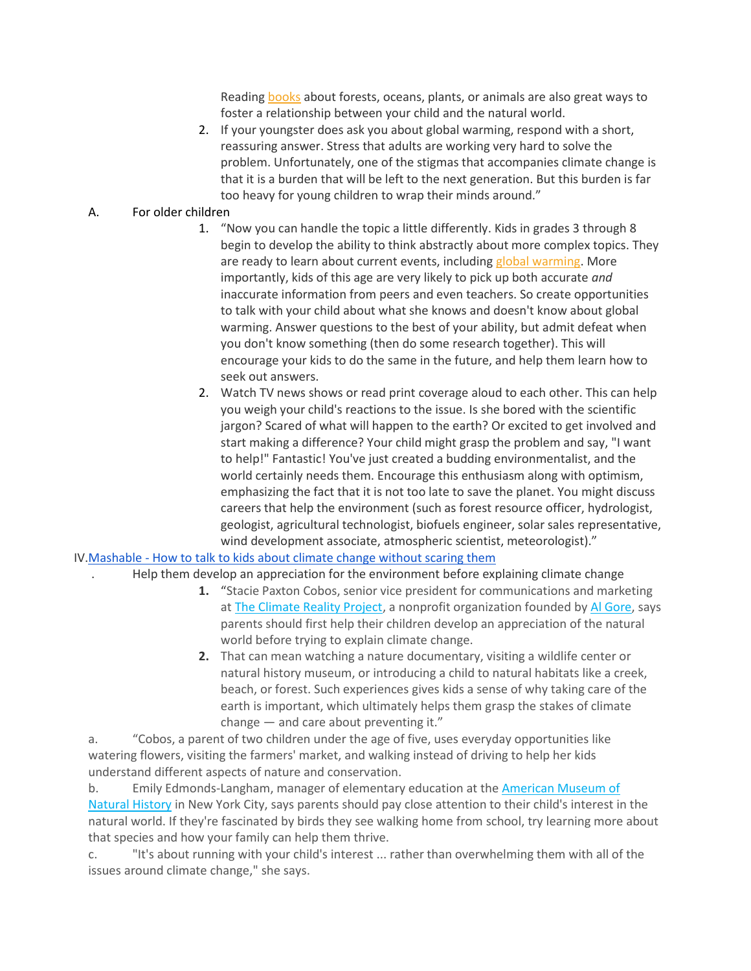Readin[g books](http://www.scholastic.com/parents/resources/book-list/science-nature/back-to-nature-books-independent-readers) about forests, oceans, plants, or animals are also great ways to foster a relationship between your child and the natural world.

2. If your youngster does ask you about global warming, respond with a short, reassuring answer. Stress that adults are working very hard to solve the problem. Unfortunately, one of the stigmas that accompanies climate change is that it is a burden that will be left to the next generation. But this burden is far too heavy for young children to wrap their minds around."

## A. For older children

- 1. "Now you can handle the topic a little differently. Kids in grades 3 through 8 begin to develop the ability to think abstractly about more complex topics. They are ready to learn about current events, includin[g global warming.](http://www.scholastic.com/parents/resources/tip/daily-tips/read-down-to-earth-guide-to-global-warming-home) More importantly, kids of this age are very likely to pick up both accurate *and* inaccurate information from peers and even teachers. So create opportunities to talk with your child about what she knows and doesn't know about global warming. Answer questions to the best of your ability, but admit defeat when you don't know something (then do some research together). This will encourage your kids to do the same in the future, and help them learn how to seek out answers.
- 2. Watch TV news shows or read print coverage aloud to each other. This can help you weigh your child's reactions to the issue. Is she bored with the scientific jargon? Scared of what will happen to the earth? Or excited to get involved and start making a difference? Your child might grasp the problem and say, "I want to help!" Fantastic! You've just created a budding environmentalist, and the world certainly needs them. Encourage this enthusiasm along with optimism, emphasizing the fact that it is not too late to save the planet. You might discuss careers that help the environment (such as forest resource officer, hydrologist, geologist, agricultural technologist, biofuels engineer, solar sales representative, wind development associate, atmospheric scientist, meteorologist)."

### IV.Mashable - [How to talk to kids about climate change without scaring them](https://mashable.com/article/climate-change-talking-to-kids/)

- . Help them develop an appreciation for the environment before explaining climate change
	- **1.** "Stacie Paxton Cobos, senior vice president for communications and marketing a[t The Climate Reality Project,](https://www.climaterealityproject.org/whoweare) a nonprofit organization founded b[y Al Gore,](https://mashable.com/category/al-gore/) says parents should first help their children develop an appreciation of the natural world before trying to explain climate change.
	- **2.** That can mean watching a nature documentary, visiting a wildlife center or natural history museum, or introducing a child to natural habitats like a creek, beach, or forest. Such experiences gives kids a sense of why taking care of the earth is important, which ultimately helps them grasp the stakes of climate change — and care about preventing it."

a. "Cobos, a parent of two children under the age of five, uses everyday opportunities like watering flowers, visiting the farmers' market, and walking instead of driving to help her kids understand different aspects of nature and conservation.

b. Emily Edmonds-Langham, manager of elementary education at the [American Museum of](https://www.amnh.org/)  [Natural History](https://www.amnh.org/) in New York City, says parents should pay close attention to their child's interest in the natural world. If they're fascinated by birds they see walking home from school, try learning more about that species and how your family can help them thrive.

c. "It's about running with your child's interest ... rather than overwhelming them with all of the issues around climate change," she says.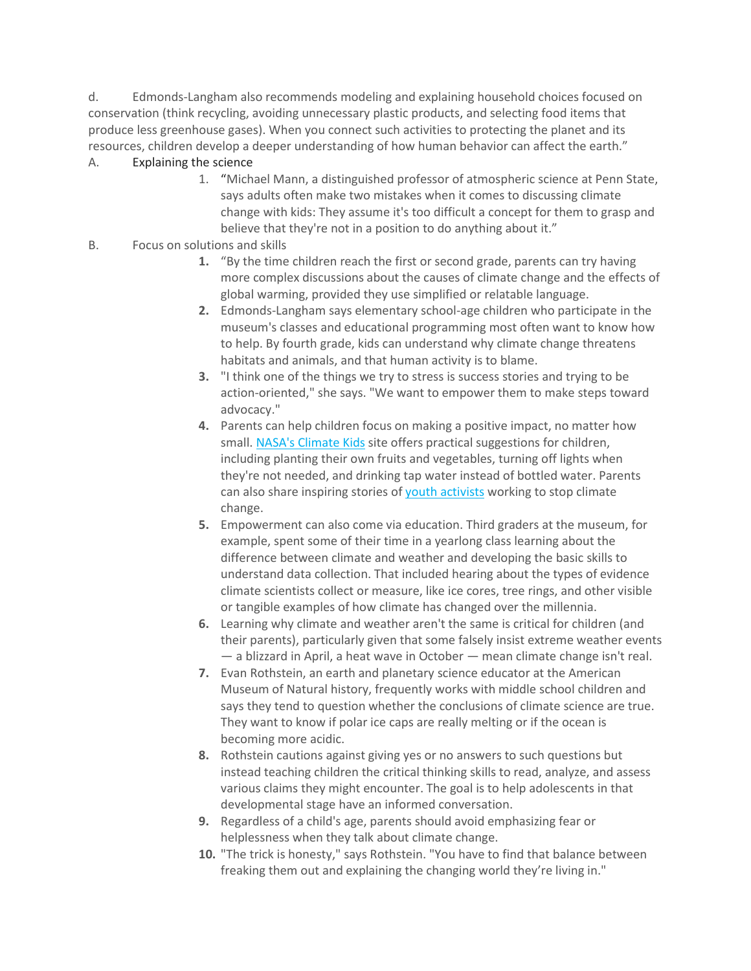d. Edmonds-Langham also recommends modeling and explaining household choices focused on conservation (think recycling, avoiding unnecessary plastic products, and selecting food items that produce less greenhouse gases). When you connect such activities to protecting the planet and its resources, children develop a deeper understanding of how human behavior can affect the earth." A. Explaining the science

> 1. "Michael Mann, a distinguished professor of atmospheric science at Penn State, says adults often make two mistakes when it comes to discussing climate change with kids: They assume it's too difficult a concept for them to grasp and believe that they're not in a position to do anything about it."

# B. Focus on solutions and skills

- **1.** "By the time children reach the first or second grade, parents can try having more complex discussions about the causes of climate change and the effects of global warming, provided they use simplified or relatable language.
- **2.** Edmonds-Langham says elementary school-age children who participate in the museum's classes and educational programming most often want to know how to help. By fourth grade, kids can understand why climate change threatens habitats and animals, and that human activity is to blame.
- **3.** "I think one of the things we try to stress is success stories and trying to be action-oriented," she says. "We want to empower them to make steps toward advocacy."
- **4.** Parents can help children focus on making a positive impact, no matter how small[. NASA's Climate Kids](https://climatekids.nasa.gov/how-to-help/) site offers practical suggestions for children, including planting their own fruits and vegetables, turning off lights when they're not needed, and drinking tap water instead of bottled water. Parents can also share inspiring stories o[f youth activists](https://mashable.com/article/climate-change-young-activists/) working to stop climate change.
- **5.** Empowerment can also come via education. Third graders at the museum, for example, spent some of their time in a yearlong class learning about the difference between climate and weather and developing the basic skills to understand data collection. That included hearing about the types of evidence climate scientists collect or measure, like ice cores, tree rings, and other visible or tangible examples of how climate has changed over the millennia.
- **6.** Learning why climate and weather aren't the same is critical for children (and their parents), particularly given that some falsely insist extreme weather events — a blizzard in April, a heat wave in October — mean climate change isn't real.
- **7.** Evan Rothstein, an earth and planetary science educator at the American Museum of Natural history, frequently works with middle school children and says they tend to question whether the conclusions of climate science are true. They want to know if polar ice caps are really melting or if the ocean is becoming more acidic.
- **8.** Rothstein cautions against giving yes or no answers to such questions but instead teaching children the critical thinking skills to read, analyze, and assess various claims they might encounter. The goal is to help adolescents in that developmental stage have an informed conversation.
- **9.** Regardless of a child's age, parents should avoid emphasizing fear or helplessness when they talk about climate change.
- **10.** "The trick is honesty," says Rothstein. "You have to find that balance between freaking them out and explaining the changing world they're living in."